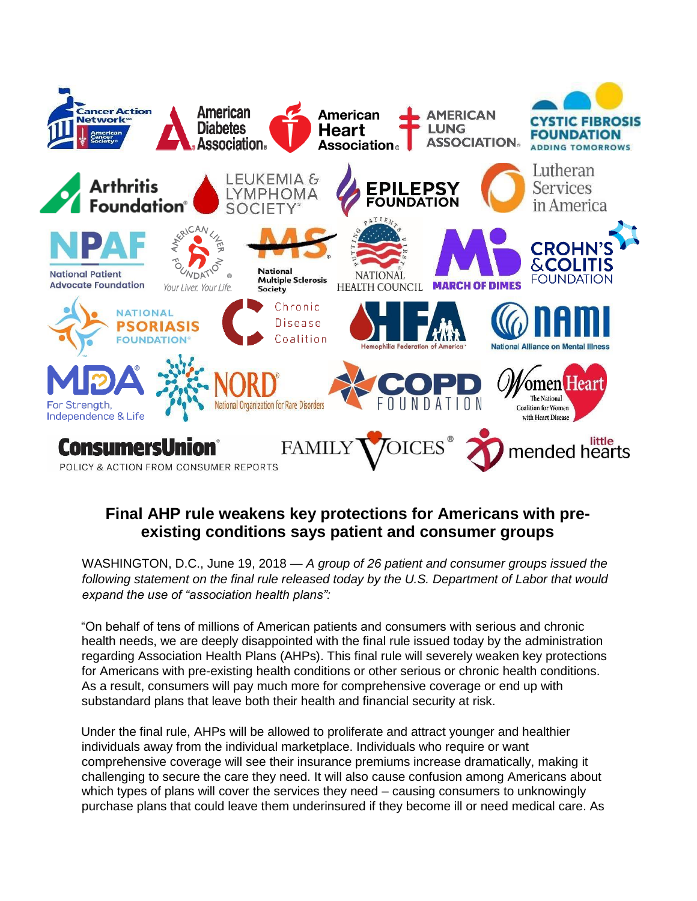

## **Final AHP rule weakens key protections for Americans with preexisting conditions says patient and consumer groups**

WASHINGTON, D.C., June 19, 2018 — *A group of 26 patient and consumer groups issued the following statement on the final rule released today by the U.S. Department of Labor that would expand the use of "association health plans":*

"On behalf of tens of millions of American patients and consumers with serious and chronic health needs, we are deeply disappointed with the final rule issued today by the administration regarding Association Health Plans (AHPs). This final rule will severely weaken key protections for Americans with pre-existing health conditions or other serious or chronic health conditions. As a result, consumers will pay much more for comprehensive coverage or end up with substandard plans that leave both their health and financial security at risk.

Under the final rule, AHPs will be allowed to proliferate and attract younger and healthier individuals away from the individual marketplace. Individuals who require or want comprehensive coverage will see their insurance premiums increase dramatically, making it challenging to secure the care they need. It will also cause confusion among Americans about which types of plans will cover the services they need – causing consumers to unknowingly purchase plans that could leave them underinsured if they become ill or need medical care. As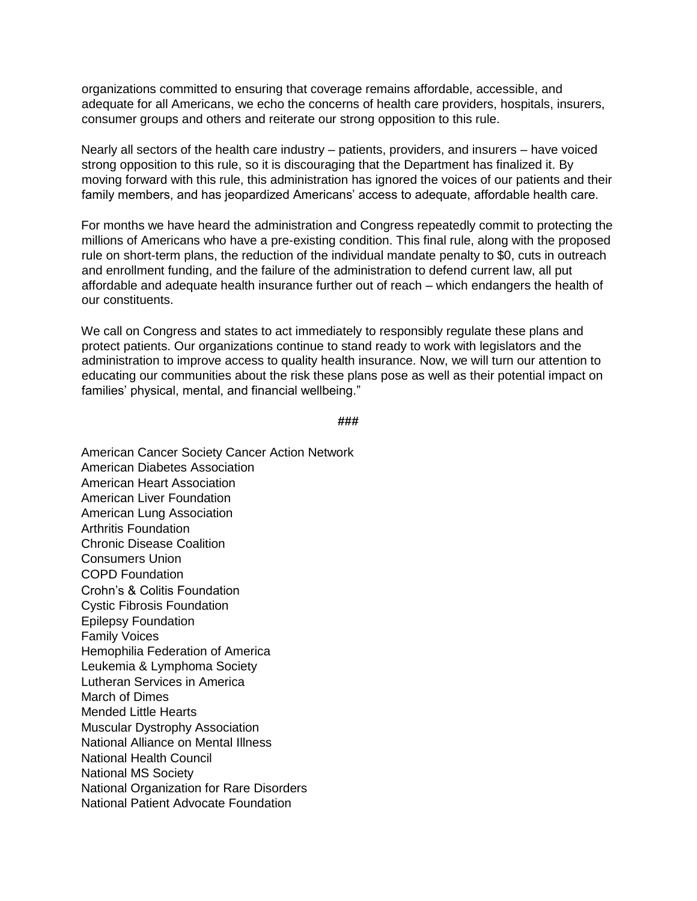organizations committed to ensuring that coverage remains affordable, accessible, and adequate for all Americans, we echo the concerns of health care providers, hospitals, insurers, consumer groups and others and reiterate our strong opposition to this rule.

Nearly all sectors of the health care industry – patients, providers, and insurers – have voiced strong opposition to this rule, so it is discouraging that the Department has finalized it. By moving forward with this rule, this administration has ignored the voices of our patients and their family members, and has jeopardized Americans' access to adequate, affordable health care.

For months we have heard the administration and Congress repeatedly commit to protecting the millions of Americans who have a pre-existing condition. This final rule, along with the proposed rule on short-term plans, the reduction of the individual mandate penalty to \$0, cuts in outreach and enrollment funding, and the failure of the administration to defend current law, all put affordable and adequate health insurance further out of reach – which endangers the health of our constituents.

We call on Congress and states to act immediately to responsibly regulate these plans and protect patients. Our organizations continue to stand ready to work with legislators and the administration to improve access to quality health insurance. Now, we will turn our attention to educating our communities about the risk these plans pose as well as their potential impact on families' physical, mental, and financial wellbeing."

```
###
```
American Cancer Society Cancer Action Network American Diabetes Association American Heart Association American Liver Foundation American Lung Association Arthritis Foundation Chronic Disease Coalition Consumers Union COPD Foundation Crohn's & Colitis Foundation Cystic Fibrosis Foundation Epilepsy Foundation Family Voices Hemophilia Federation of America Leukemia & Lymphoma Society Lutheran Services in America March of Dimes Mended Little Hearts Muscular Dystrophy Association National Alliance on Mental Illness National Health Council National MS Society National Organization for Rare Disorders National Patient Advocate Foundation